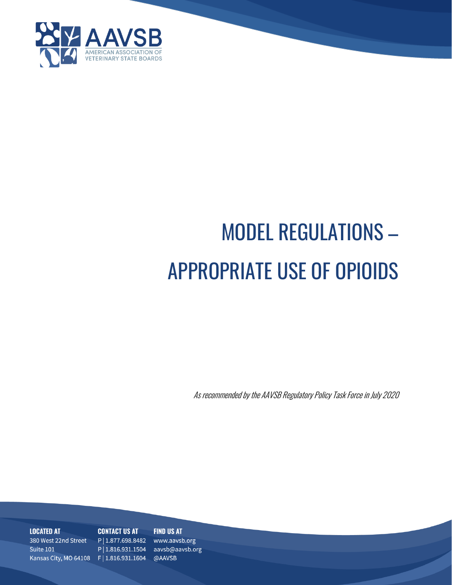

# MODEL REGULATIONS – APPROPRIATE USE OF OPIOIDS

As recommended by the AAVSB Regulatory Policy Task Force in July 2020

**LOCATED AT** 380 West 22nd Street Suite 101 and the state of the state

#### **FIND US AT CONTACT US AT**

P | 1.877.698.8482 www.aavsb.org P | 1.816.931.1504 aavsb@aavsb.org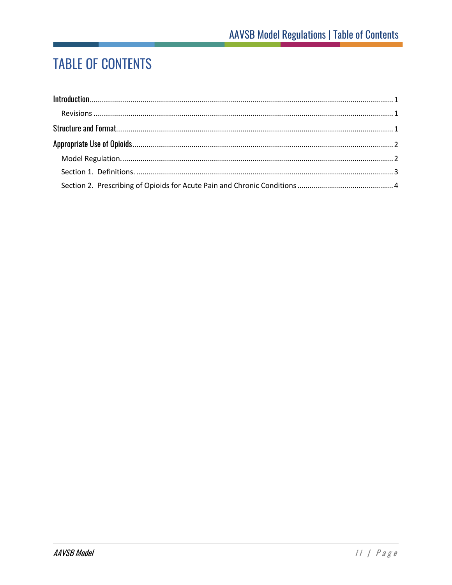## **TABLE OF CONTENTS**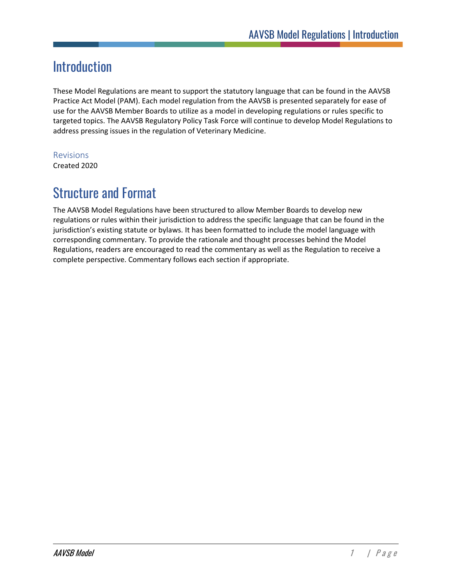## <span id="page-2-0"></span>**Introduction**

These Model Regulations are meant to support the statutory language that can be found in the AAVSB Practice Act Model (PAM). Each model regulation from the AAVSB is presented separately for ease of use for the AAVSB Member Boards to utilize as a model in developing regulations or rules specific to targeted topics. The AAVSB Regulatory Policy Task Force will continue to develop Model Regulations to address pressing issues in the regulation of Veterinary Medicine.

#### <span id="page-2-1"></span>Revisions

Created 2020

## <span id="page-2-2"></span>Structure and Format

The AAVSB Model Regulations have been structured to allow Member Boards to develop new regulations or rules within their jurisdiction to address the specific language that can be found in the jurisdiction's existing statute or bylaws. It has been formatted to include the model language with corresponding commentary. To provide the rationale and thought processes behind the Model Regulations, readers are encouraged to read the commentary as well as the Regulation to receive a complete perspective. Commentary follows each section if appropriate.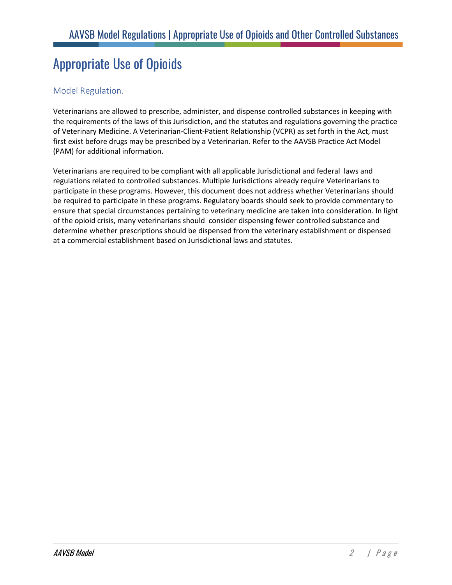## <span id="page-3-0"></span>Appropriate Use of Opioids

#### <span id="page-3-1"></span>Model Regulation.

Veterinarians are allowed to prescribe, administer, and dispense controlled substances in keeping with the requirements of the laws of this Jurisdiction, and the statutes and regulations governing the practice of Veterinary Medicine. A Veterinarian-Client-Patient Relationship (VCPR) as set forth in the Act, must first exist before drugs may be prescribed by a Veterinarian. Refer to the AAVSB Practice Act Model (PAM) for additional information.

Veterinarians are required to be compliant with all applicable Jurisdictional and federal laws and regulations related to controlled substances. Multiple Jurisdictions already require Veterinarians to participate in these programs. However, this document does not address whether Veterinarians should be required to participate in these programs. Regulatory boards should seek to provide commentary to ensure that special circumstances pertaining to veterinary medicine are taken into consideration. In light of the opioid crisis, many veterinarians should consider dispensing fewer controlled substance and determine whether prescriptions should be dispensed from the veterinary establishment or dispensed at a commercial establishment based on Jurisdictional laws and statutes.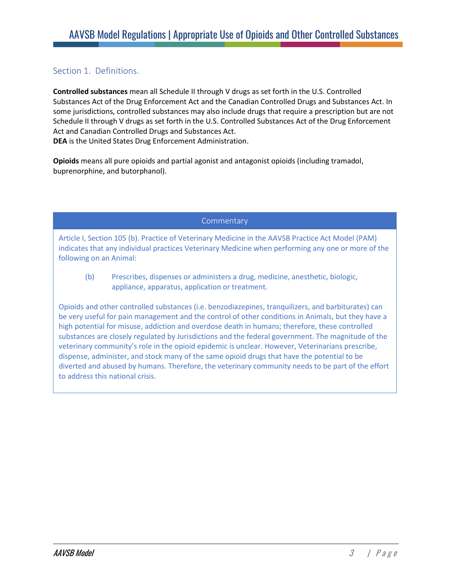#### <span id="page-4-0"></span>Section 1. Definitions.

**Controlled substances** mean all Schedule II through V drugs as set forth in the U.S. Controlled Substances Act of the Drug Enforcement Act and the Canadian Controlled Drugs and Substances Act. In some jurisdictions, controlled substances may also include drugs that require a prescription but are not Schedule II through V drugs as set forth in the U.S. Controlled Substances Act of the Drug Enforcement Act and Canadian Controlled Drugs and Substances Act.

**DEA** is the United States Drug Enforcement Administration.

**Opioids** means all pure opioids and partial agonist and antagonist opioids (including tramadol, buprenorphine, and butorphanol).

**Commentary** 

Article I, Section 105 (b). Practice of Veterinary Medicine in the AAVSB Practice Act Model (PAM) indicates that any individual practices Veterinary Medicine when performing any one or more of the following on an Animal:

(b) Prescribes, dispenses or administers a drug, medicine, anesthetic, biologic, appliance, apparatus, application or treatment.

Opioids and other controlled substances (i.e. benzodiazepines, tranquilizers, and barbiturates) can be very useful for pain management and the control of other conditions in Animals, but they have a high potential for misuse, addiction and overdose death in humans; therefore, these controlled substances are closely regulated by Jurisdictions and the federal government. The magnitude of the veterinary community's role in the opioid epidemic is unclear. However, Veterinarians prescribe, dispense, administer, and stock many of the same opioid drugs that have the potential to be diverted and abused by humans. Therefore, the veterinary community needs to be part of the effort to address this national crisis.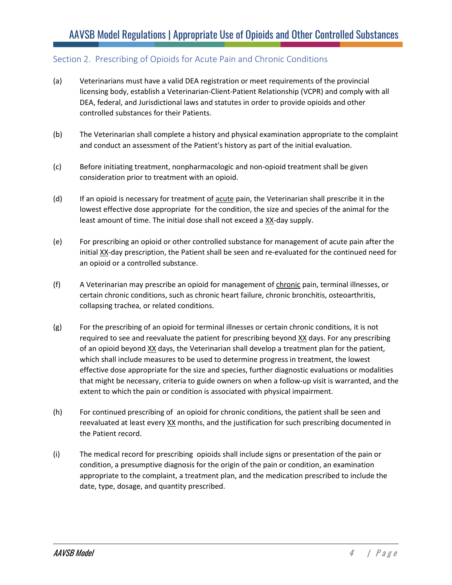#### <span id="page-5-0"></span>Section 2. Prescribing of Opioids for Acute Pain and Chronic Conditions

- (a) Veterinarians must have a valid DEA registration or meet requirements of the provincial licensing body, establish a Veterinarian-Client-Patient Relationship (VCPR) and comply with all DEA, federal, and Jurisdictional laws and statutes in order to provide opioids and other controlled substances for their Patients.
- (b) The Veterinarian shall complete a history and physical examination appropriate to the complaint and conduct an assessment of the Patient's history as part of the initial evaluation.
- (c) Before initiating treatment, nonpharmacologic and non-opioid treatment shall be given consideration prior to treatment with an opioid.
- (d) If an opioid is necessary for treatment of acute pain, the Veterinarian shall prescribe it in the lowest effective dose appropriate for the condition, the size and species of the animal for the least amount of time. The initial dose shall not exceed a XX-day supply.
- (e) For prescribing an opioid or other controlled substance for management of acute pain after the initial XX-day prescription, the Patient shall be seen and re-evaluated for the continued need for an opioid or a controlled substance.
- (f) A Veterinarian may prescribe an opioid for management of chronic pain, terminal illnesses, or certain chronic conditions, such as chronic heart failure, chronic bronchitis, osteoarthritis, collapsing trachea, or related conditions.
- (g) For the prescribing of an opioid for terminal illnesses or certain chronic conditions, it is not required to see and reevaluate the patient for prescribing beyond XX days. For any prescribing of an opioid beyond XX days, the Veterinarian shall develop a treatment plan for the patient, which shall include measures to be used to determine progress in treatment, the lowest effective dose appropriate for the size and species, further diagnostic evaluations or modalities that might be necessary, criteria to guide owners on when a follow-up visit is warranted, and the extent to which the pain or condition is associated with physical impairment.
- (h) For continued prescribing of an opioid for chronic conditions, the patient shall be seen and reevaluated at least every XX months, and the justification for such prescribing documented in the Patient record.
- (i) The medical record for prescribing opioids shall include signs or presentation of the pain or condition, a presumptive diagnosis for the origin of the pain or condition, an examination appropriate to the complaint, a treatment plan, and the medication prescribed to include the date, type, dosage, and quantity prescribed.